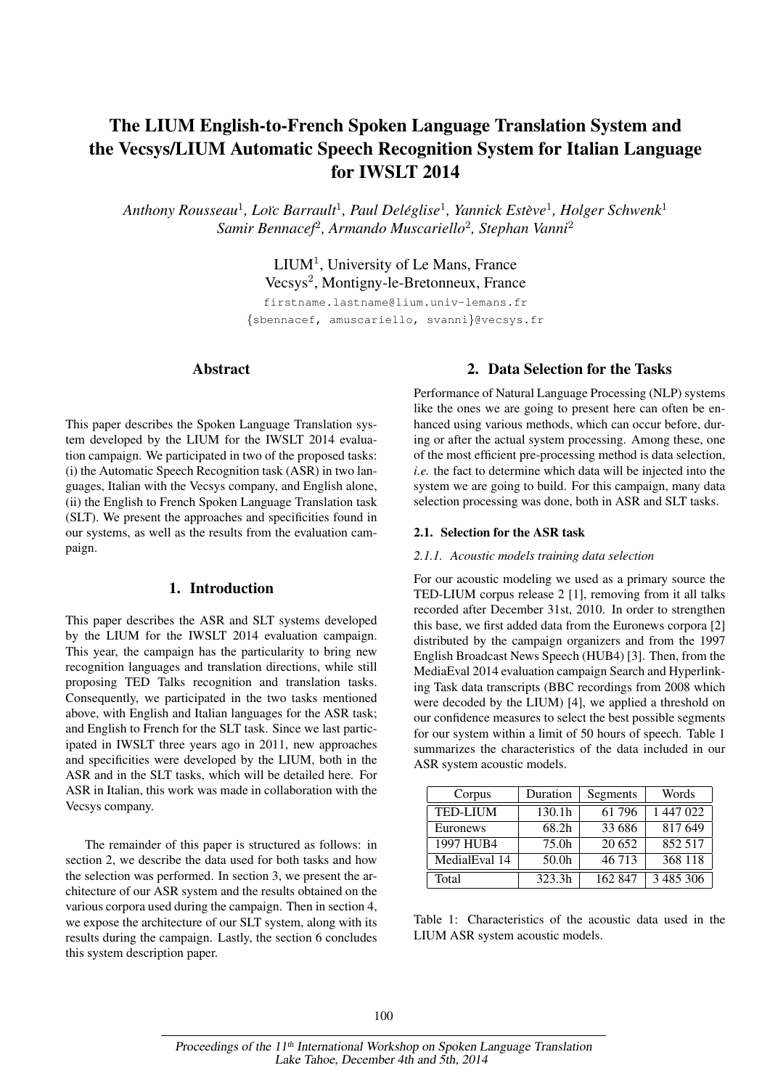# The LIUM English-to-French Spoken Language Translation System and the Vecsys/LIUM Automatic Speech Recognition System for Italian Language for IWSLT 2014

*Anthony Rousseau*<sup>1</sup> *, Lo¨ıc Barrault*<sup>1</sup> *, Paul Deleglise ´* 1 *, Yannick Esteve `* 1 *, Holger Schwenk*<sup>1</sup> *Samir Bennacef*<sup>2</sup> *, Armando Muscariello*<sup>2</sup> *, Stephan Vanni*<sup>2</sup>

> LIUM<sup>1</sup>, University of Le Mans, France Vecsys<sup>2</sup>, Montigny-le-Bretonneux, France

firstname.lastname@lium.univ-lemans.fr {sbennacef, amuscariello, svanni}@vecsys.fr

# Abstract

This paper describes the Spoken Language Translation system developed by the LIUM for the IWSLT 2014 evaluation campaign. We participated in two of the proposed tasks: (i) the Automatic Speech Recognition task (ASR) in two languages, Italian with the Vecsys company, and English alone, (ii) the English to French Spoken Language Translation task (SLT). We present the approaches and specificities found in our systems, as well as the results from the evaluation campaign.

# 1. Introduction

This paper describes the ASR and SLT systems developed by the LIUM for the IWSLT 2014 evaluation campaign. This year, the campaign has the particularity to bring new recognition languages and translation directions, while still proposing TED Talks recognition and translation tasks. Consequently, we participated in the two tasks mentioned above, with English and Italian languages for the ASR task; and English to French for the SLT task. Since we last participated in IWSLT three years ago in 2011, new approaches and specificities were developed by the LIUM, both in the ASR and in the SLT tasks, which will be detailed here. For ASR in Italian, this work was made in collaboration with the Vecsys company.

The remainder of this paper is structured as follows: in section 2, we describe the data used for both tasks and how the selection was performed. In section 3, we present the architecture of our ASR system and the results obtained on the various corpora used during the campaign. Then in section 4, we expose the architecture of our SLT system, along with its results during the campaign. Lastly, the section 6 concludes this system description paper.

# 2. Data Selection for the Tasks

Performance of Natural Language Processing (NLP) systems like the ones we are going to present here can often be enhanced using various methods, which can occur before, during or after the actual system processing. Among these, one of the most efficient pre-processing method is data selection, *i.e.* the fact to determine which data will be injected into the system we are going to build. For this campaign, many data selection processing was done, both in ASR and SLT tasks.

#### 2.1. Selection for the ASR task

## *2.1.1. Acoustic models training data selection*

For our acoustic modeling we used as a primary source the TED-LIUM corpus release 2 [1], removing from it all talks recorded after December 31st, 2010. In order to strengthen this base, we first added data from the Euronews corpora [2] distributed by the campaign organizers and from the 1997 English Broadcast News Speech (HUB4) [3]. Then, from the MediaEval 2014 evaluation campaign Search and Hyperlinking Task data transcripts (BBC recordings from 2008 which were decoded by the LIUM) [4], we applied a threshold on our confidence measures to select the best possible segments for our system within a limit of 50 hours of speech. Table 1 summarizes the characteristics of the data included in our ASR system acoustic models.

| Corpus          | Duration          | Segments | Words     |  |  |
|-----------------|-------------------|----------|-----------|--|--|
| <b>TED-LIUM</b> | 130.1h            | 61 796   | 1 447 022 |  |  |
| Euronews        | 68.2h             | 33 686   | 817649    |  |  |
| 1997 HUB4       | 75.0h             | 20 652   | 852 517   |  |  |
| MedialEval 14   | 50.0 <sub>h</sub> | 46 713   | 368 118   |  |  |
| Total           | 323.3h            | 162 847  | 3 485 306 |  |  |

Table 1: Characteristics of the acoustic data used in the LIUM ASR system acoustic models.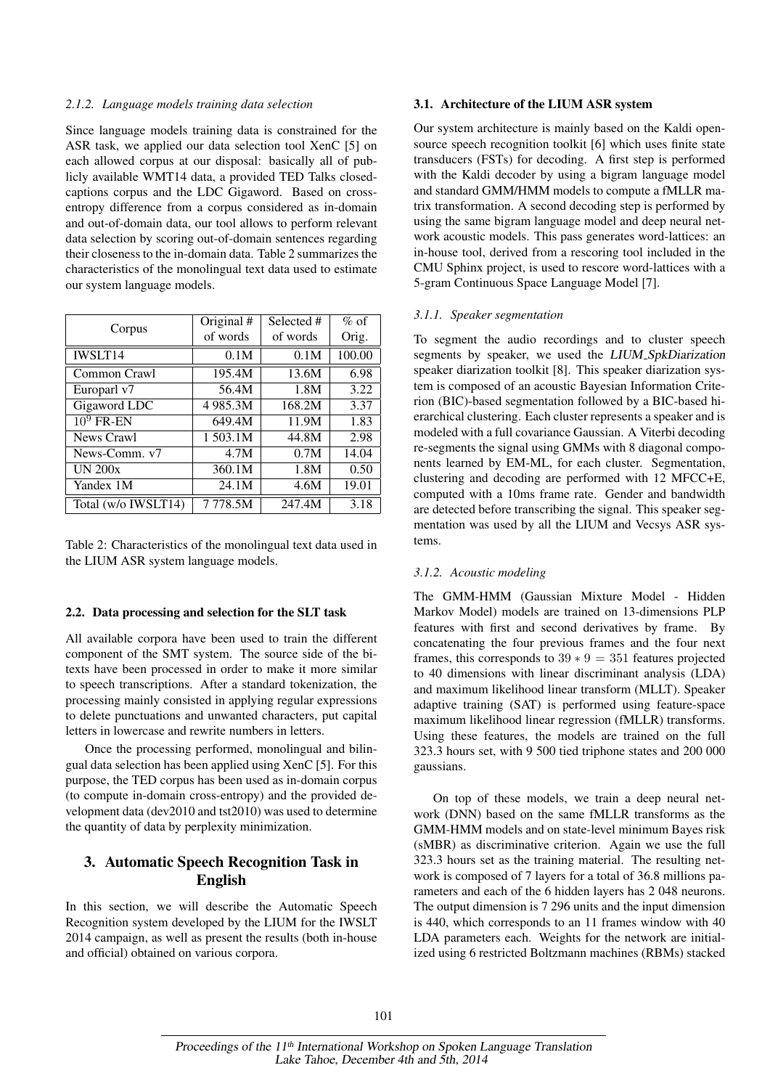#### *2.1.2. Language models training data selection*

Since language models training data is constrained for the ASR task, we applied our data selection tool XenC [5] on each allowed corpus at our disposal: basically all of publicly available WMT14 data, a provided TED Talks closedcaptions corpus and the LDC Gigaword. Based on crossentropy difference from a corpus considered as in-domain and out-of-domain data, our tool allows to perform relevant data selection by scoring out-of-domain sentences regarding their closeness to the in-domain data. Table 2 summarizes the characteristics of the monolingual text data used to estimate our system language models.

|                     | Original # | Selected # | $%$ of |  |
|---------------------|------------|------------|--------|--|
| Corpus              | of words   | of words   | Orig.  |  |
| <b>IWSLT14</b>      | 0.1M       | 0.1M       | 100.00 |  |
| Common Crawl        | 195.4M     | 13.6M      | 6.98   |  |
| Europarl v7         | 56.4M      | 1.8M       | 3.22   |  |
| Gigaword LDC        | 4 985.3M   | 168.2M     | 3.37   |  |
| $10^9$ FR-EN        | 649.4M     | 11.9M      | 1.83   |  |
| News Crawl          | 1 503.1M   | 44.8M      | 2.98   |  |
| News-Comm. v7       | 4.7M       | 0.7M       | 14.04  |  |
| <b>UN 200x</b>      | 360.1M     | 1.8M       | 0.50   |  |
| Yandex 1M           | 24.1M      | 4.6M       | 19.01  |  |
| Total (w/o IWSLT14) | 7778.5M    | 247.4M     | 3.18   |  |

Table 2: Characteristics of the monolingual text data used in the LIUM ASR system language models.

#### 2.2. Data processing and selection for the SLT task

All available corpora have been used to train the different component of the SMT system. The source side of the bitexts have been processed in order to make it more similar to speech transcriptions. After a standard tokenization, the processing mainly consisted in applying regular expressions to delete punctuations and unwanted characters, put capital letters in lowercase and rewrite numbers in letters.

Once the processing performed, monolingual and bilingual data selection has been applied using XenC [5]. For this purpose, the TED corpus has been used as in-domain corpus (to compute in-domain cross-entropy) and the provided development data (dev2010 and tst2010) was used to determine the quantity of data by perplexity minimization.

# 3. Automatic Speech Recognition Task in English

In this section, we will describe the Automatic Speech Recognition system developed by the LIUM for the IWSLT 2014 campaign, as well as present the results (both in-house and official) obtained on various corpora.

#### 3.1. Architecture of the LIUM ASR system

Our system architecture is mainly based on the Kaldi opensource speech recognition toolkit [6] which uses finite state transducers (FSTs) for decoding. A first step is performed with the Kaldi decoder by using a bigram language model and standard GMM/HMM models to compute a fMLLR matrix transformation. A second decoding step is performed by using the same bigram language model and deep neural network acoustic models. This pass generates word-lattices: an in-house tool, derived from a rescoring tool included in the CMU Sphinx project, is used to rescore word-lattices with a 5-gram Continuous Space Language Model [7].

#### *3.1.1. Speaker segmentation*

To segment the audio recordings and to cluster speech segments by speaker, we used the LIUM\_SpkDiarization speaker diarization toolkit [8]. This speaker diarization system is composed of an acoustic Bayesian Information Criterion (BIC)-based segmentation followed by a BIC-based hierarchical clustering. Each cluster represents a speaker and is modeled with a full covariance Gaussian. A Viterbi decoding re-segments the signal using GMMs with 8 diagonal components learned by EM-ML, for each cluster. Segmentation, clustering and decoding are performed with 12 MFCC+E, computed with a 10ms frame rate. Gender and bandwidth are detected before transcribing the signal. This speaker segmentation was used by all the LIUM and Vecsys ASR systems.

#### *3.1.2. Acoustic modeling*

The GMM-HMM (Gaussian Mixture Model - Hidden Markov Model) models are trained on 13-dimensions PLP features with first and second derivatives by frame. By concatenating the four previous frames and the four next frames, this corresponds to  $39 * 9 = 351$  features projected to 40 dimensions with linear discriminant analysis (LDA) and maximum likelihood linear transform (MLLT). Speaker adaptive training (SAT) is performed using feature-space maximum likelihood linear regression (fMLLR) transforms. Using these features, the models are trained on the full 323.3 hours set, with 9 500 tied triphone states and 200 000 gaussians.

On top of these models, we train a deep neural network (DNN) based on the same fMLLR transforms as the GMM-HMM models and on state-level minimum Bayes risk (sMBR) as discriminative criterion. Again we use the full 323.3 hours set as the training material. The resulting network is composed of 7 layers for a total of 36.8 millions parameters and each of the 6 hidden layers has 2 048 neurons. The output dimension is 7 296 units and the input dimension is 440, which corresponds to an 11 frames window with 40 LDA parameters each. Weights for the network are initialized using 6 restricted Boltzmann machines (RBMs) stacked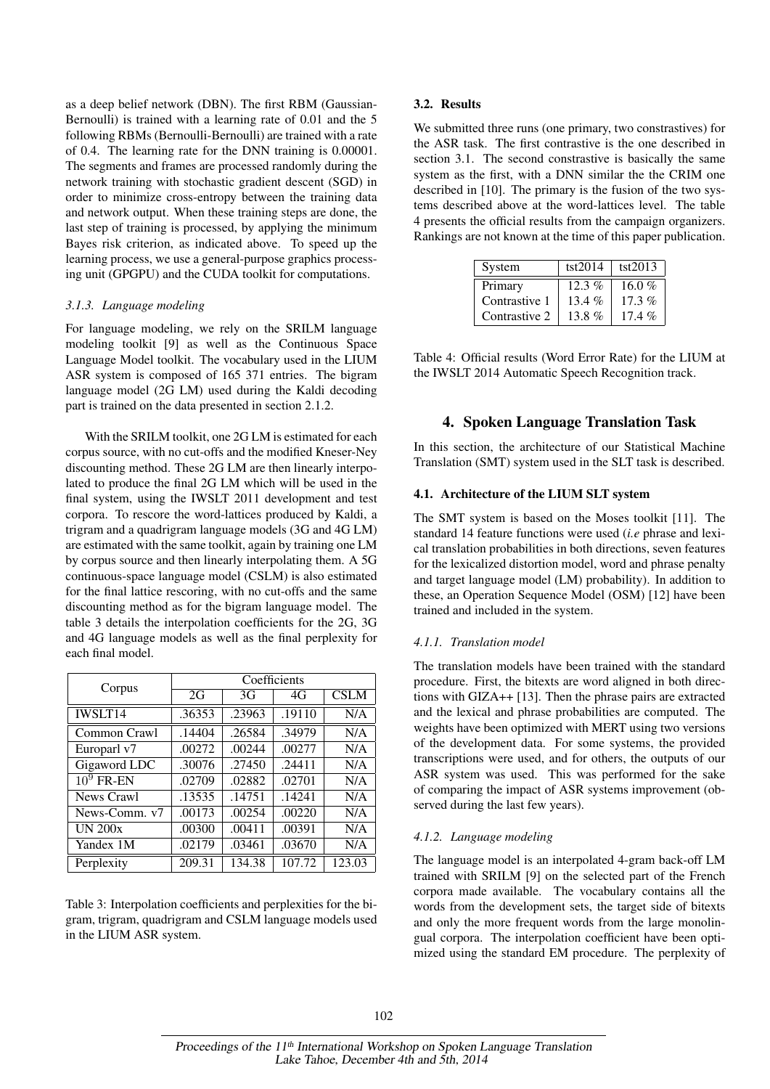as a deep belief network (DBN). The first RBM (Gaussian-Bernoulli) is trained with a learning rate of 0.01 and the 5 following RBMs (Bernoulli-Bernoulli) are trained with a rate of 0.4. The learning rate for the DNN training is 0.00001. The segments and frames are processed randomly during the network training with stochastic gradient descent (SGD) in order to minimize cross-entropy between the training data and network output. When these training steps are done, the last step of training is processed, by applying the minimum Bayes risk criterion, as indicated above. To speed up the learning process, we use a general-purpose graphics processing unit (GPGPU) and the CUDA toolkit for computations.

## *3.1.3. Language modeling*

For language modeling, we rely on the SRILM language modeling toolkit [9] as well as the Continuous Space Language Model toolkit. The vocabulary used in the LIUM ASR system is composed of 165 371 entries. The bigram language model (2G LM) used during the Kaldi decoding part is trained on the data presented in section 2.1.2.

With the SRILM toolkit, one 2G LM is estimated for each corpus source, with no cut-offs and the modified Kneser-Ney discounting method. These 2G LM are then linearly interpolated to produce the final 2G LM which will be used in the final system, using the IWSLT 2011 development and test corpora. To rescore the word-lattices produced by Kaldi, a trigram and a quadrigram language models (3G and 4G LM) are estimated with the same toolkit, again by training one LM by corpus source and then linearly interpolating them. A 5G continuous-space language model (CSLM) is also estimated for the final lattice rescoring, with no cut-offs and the same discounting method as for the bigram language model. The table 3 details the interpolation coefficients for the 2G, 3G and 4G language models as well as the final perplexity for each final model.

| Corpus         | Coefficients |        |        |             |  |  |  |
|----------------|--------------|--------|--------|-------------|--|--|--|
|                | 2G           | 3G     | 4G     | <b>CSLM</b> |  |  |  |
| <b>IWSLT14</b> | .36353       | .23963 | .19110 | N/A         |  |  |  |
| Common Crawl   | .14404       | .26584 | .34979 | N/A         |  |  |  |
| Europarl v7    | .00272       | .00244 | .00277 | N/A         |  |  |  |
| Gigaword LDC   | .30076       | .27450 | .24411 | N/A         |  |  |  |
| $10^9$ FR-EN   | .02709       | .02882 | .02701 | N/A         |  |  |  |
| News Crawl     | .13535       | .14751 | .14241 | N/A         |  |  |  |
| News-Comm. v7  | .00173       | .00254 | .00220 | N/A         |  |  |  |
| <b>UN 200x</b> | .00300       | .00411 | .00391 | N/A         |  |  |  |
| Yandex 1M      | .02179       | .03461 | .03670 | N/A         |  |  |  |
| Perplexity     | 209.31       | 134.38 | 107.72 | 123.03      |  |  |  |

Table 3: Interpolation coefficients and perplexities for the bigram, trigram, quadrigram and CSLM language models used in the LIUM ASR system.

## 3.2. Results

We submitted three runs (one primary, two constrastives) for the ASR task. The first contrastive is the one described in section 3.1. The second constrastive is basically the same system as the first, with a DNN similar the the CRIM one described in [10]. The primary is the fusion of the two systems described above at the word-lattices level. The table 4 presents the official results from the campaign organizers. Rankings are not known at the time of this paper publication.

| System        | tst2014  | tst2013  |
|---------------|----------|----------|
| Primary       | $12.3\%$ | 16.0 $%$ |
| Contrastive 1 | 13.4%    | $17.3\%$ |
| Contrastive 2 | 13.8 $%$ | $17.4\%$ |

Table 4: Official results (Word Error Rate) for the LIUM at the IWSLT 2014 Automatic Speech Recognition track.

# 4. Spoken Language Translation Task

In this section, the architecture of our Statistical Machine Translation (SMT) system used in the SLT task is described.

## 4.1. Architecture of the LIUM SLT system

The SMT system is based on the Moses toolkit [11]. The standard 14 feature functions were used (*i.e* phrase and lexical translation probabilities in both directions, seven features for the lexicalized distortion model, word and phrase penalty and target language model (LM) probability). In addition to these, an Operation Sequence Model (OSM) [12] have been trained and included in the system.

#### *4.1.1. Translation model*

The translation models have been trained with the standard procedure. First, the bitexts are word aligned in both directions with GIZA++ [13]. Then the phrase pairs are extracted and the lexical and phrase probabilities are computed. The weights have been optimized with MERT using two versions of the development data. For some systems, the provided transcriptions were used, and for others, the outputs of our ASR system was used. This was performed for the sake of comparing the impact of ASR systems improvement (observed during the last few years).

## *4.1.2. Language modeling*

The language model is an interpolated 4-gram back-off LM trained with SRILM [9] on the selected part of the French corpora made available. The vocabulary contains all the words from the development sets, the target side of bitexts and only the more frequent words from the large monolingual corpora. The interpolation coefficient have been optimized using the standard EM procedure. The perplexity of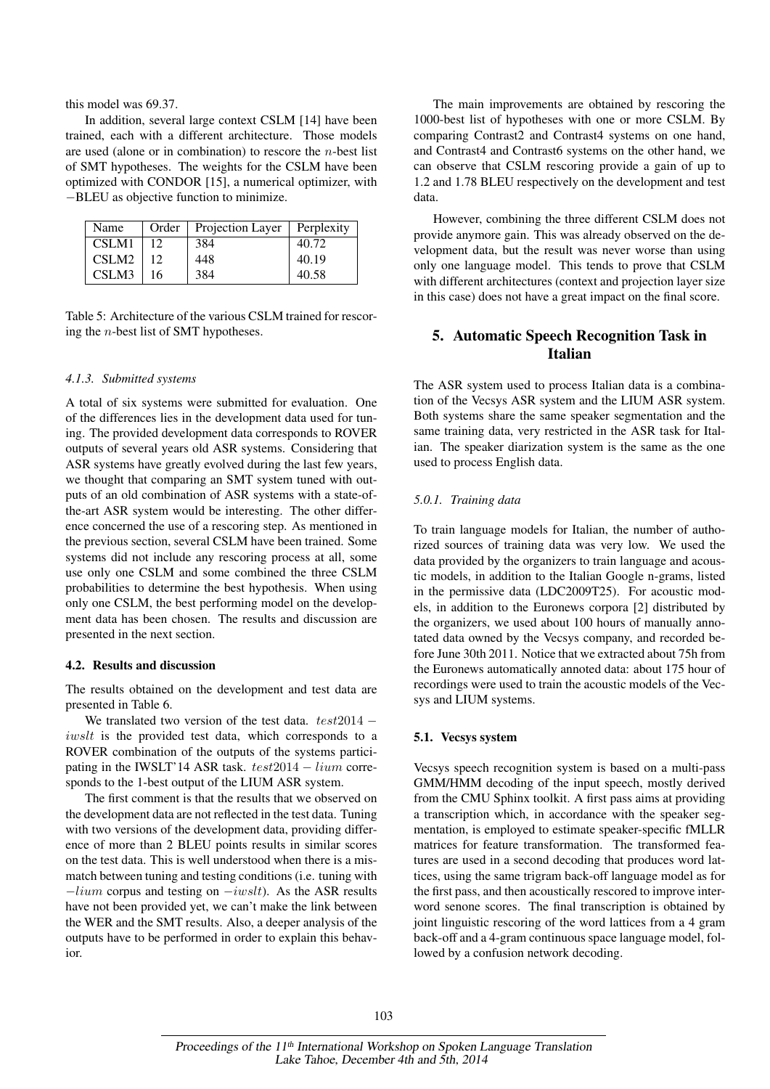this model was 69.37.

In addition, several large context CSLM [14] have been trained, each with a different architecture. Those models are used (alone or in combination) to rescore the  $n$ -best list of SMT hypotheses. The weights for the CSLM have been optimized with CONDOR [15], a numerical optimizer, with −BLEU as objective function to minimize.

| Name  |    | Order   Projection Layer | Perplexity |
|-------|----|--------------------------|------------|
| CSLM1 | 12 | 384                      | 40.72      |
| CSLM2 |    | 448                      | 40.19      |
| CSLM3 | 16 | 384                      | 40.58      |

Table 5: Architecture of the various CSLM trained for rescoring the n-best list of SMT hypotheses.

#### *4.1.3. Submitted systems*

A total of six systems were submitted for evaluation. One of the differences lies in the development data used for tuning. The provided development data corresponds to ROVER outputs of several years old ASR systems. Considering that ASR systems have greatly evolved during the last few years, we thought that comparing an SMT system tuned with outputs of an old combination of ASR systems with a state-ofthe-art ASR system would be interesting. The other difference concerned the use of a rescoring step. As mentioned in the previous section, several CSLM have been trained. Some systems did not include any rescoring process at all, some use only one CSLM and some combined the three CSLM probabilities to determine the best hypothesis. When using only one CSLM, the best performing model on the development data has been chosen. The results and discussion are presented in the next section.

#### 4.2. Results and discussion

The results obtained on the development and test data are presented in Table 6.

We translated two version of the test data.  $test2014$ iwslt is the provided test data, which corresponds to a ROVER combination of the outputs of the systems participating in the IWSLT'14 ASR task. test2014 − lium corresponds to the 1-best output of the LIUM ASR system.

The first comment is that the results that we observed on the development data are not reflected in the test data. Tuning with two versions of the development data, providing difference of more than 2 BLEU points results in similar scores on the test data. This is well understood when there is a mismatch between tuning and testing conditions (i.e. tuning with  $-lium$  corpus and testing on  $-iwslt$ ). As the ASR results have not been provided yet, we can't make the link between the WER and the SMT results. Also, a deeper analysis of the outputs have to be performed in order to explain this behavior.

The main improvements are obtained by rescoring the 1000-best list of hypotheses with one or more CSLM. By comparing Contrast2 and Contrast4 systems on one hand, and Contrast4 and Contrast6 systems on the other hand, we can observe that CSLM rescoring provide a gain of up to 1.2 and 1.78 BLEU respectively on the development and test data.

However, combining the three different CSLM does not provide anymore gain. This was already observed on the development data, but the result was never worse than using only one language model. This tends to prove that CSLM with different architectures (context and projection layer size in this case) does not have a great impact on the final score.

# 5. Automatic Speech Recognition Task in Italian

The ASR system used to process Italian data is a combination of the Vecsys ASR system and the LIUM ASR system. Both systems share the same speaker segmentation and the same training data, very restricted in the ASR task for Italian. The speaker diarization system is the same as the one used to process English data.

#### *5.0.1. Training data*

To train language models for Italian, the number of authorized sources of training data was very low. We used the data provided by the organizers to train language and acoustic models, in addition to the Italian Google n-grams, listed in the permissive data (LDC2009T25). For acoustic models, in addition to the Euronews corpora [2] distributed by the organizers, we used about 100 hours of manually annotated data owned by the Vecsys company, and recorded before June 30th 2011. Notice that we extracted about 75h from the Euronews automatically annoted data: about 175 hour of recordings were used to train the acoustic models of the Vecsys and LIUM systems.

#### 5.1. Vecsys system

Vecsys speech recognition system is based on a multi-pass GMM/HMM decoding of the input speech, mostly derived from the CMU Sphinx toolkit. A first pass aims at providing a transcription which, in accordance with the speaker segmentation, is employed to estimate speaker-specific fMLLR matrices for feature transformation. The transformed features are used in a second decoding that produces word lattices, using the same trigram back-off language model as for the first pass, and then acoustically rescored to improve interword senone scores. The final transcription is obtained by joint linguistic rescoring of the word lattices from a 4 gram back-off and a 4-gram continuous space language model, followed by a confusion network decoding.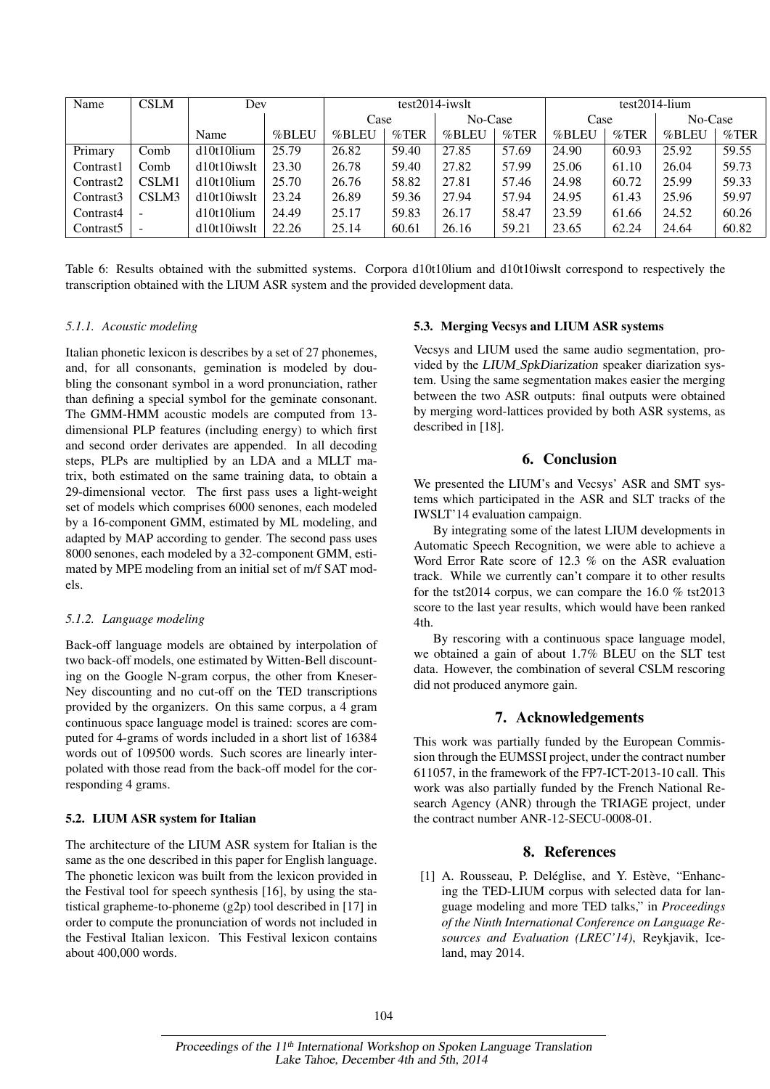| Name                  | <b>CSLM</b> | Dev            |       | $test2014$ -iwslt |          |         | $test2014$ -lium |       |          |         |          |
|-----------------------|-------------|----------------|-------|-------------------|----------|---------|------------------|-------|----------|---------|----------|
|                       |             |                |       | Case              |          | No-Case |                  | Case  |          | No-Case |          |
|                       |             | Name           | %BLEU | %BLEU             | $\%$ TER | %BLEU   | $\%$ TER         | %BLEU | $\%$ TER | %BLEU   | $\%$ TER |
| Primary               | Comb        | $d10t10$ lium  | 25.79 | 26.82             | 59.40    | 27.85   | 57.69            | 24.90 | 60.93    | 25.92   | 59.55    |
| Contrast1             | Comb        | d10t10iwslt    | 23.30 | 26.78             | 59.40    | 27.82   | 57.99            | 25.06 | 61.10    | 26.04   | 59.73    |
| Contrast <sub>2</sub> | CSLM1       | $d10t10$ lium  | 25.70 | 26.76             | 58.82    | 27.81   | 57.46            | 24.98 | 60.72    | 25.99   | 59.33    |
| Contrast3             | CSLM3       | $d10t10$ iwslt | 23.24 | 26.89             | 59.36    | 27.94   | 57.94            | 24.95 | 61.43    | 25.96   | 59.97    |
| Contrast4             |             | d10t10lium     | 24.49 | 25.17             | 59.83    | 26.17   | 58.47            | 23.59 | 61.66    | 24.52   | 60.26    |
| Contrast <sub>5</sub> |             | d10t10iwslt    | 22.26 | 25.14             | 60.61    | 26.16   | 59.21            | 23.65 | 62.24    | 24.64   | 60.82    |

Table 6: Results obtained with the submitted systems. Corpora d10t10lium and d10t10iwslt correspond to respectively the transcription obtained with the LIUM ASR system and the provided development data.

#### *5.1.1. Acoustic modeling*

Italian phonetic lexicon is describes by a set of 27 phonemes, and, for all consonants, gemination is modeled by doubling the consonant symbol in a word pronunciation, rather than defining a special symbol for the geminate consonant. The GMM-HMM acoustic models are computed from 13 dimensional PLP features (including energy) to which first and second order derivates are appended. In all decoding steps, PLPs are multiplied by an LDA and a MLLT matrix, both estimated on the same training data, to obtain a 29-dimensional vector. The first pass uses a light-weight set of models which comprises 6000 senones, each modeled by a 16-component GMM, estimated by ML modeling, and adapted by MAP according to gender. The second pass uses 8000 senones, each modeled by a 32-component GMM, estimated by MPE modeling from an initial set of m/f SAT models.

#### *5.1.2. Language modeling*

Back-off language models are obtained by interpolation of two back-off models, one estimated by Witten-Bell discounting on the Google N-gram corpus, the other from Kneser-Ney discounting and no cut-off on the TED transcriptions provided by the organizers. On this same corpus, a 4 gram continuous space language model is trained: scores are computed for 4-grams of words included in a short list of 16384 words out of 109500 words. Such scores are linearly interpolated with those read from the back-off model for the corresponding 4 grams.

#### 5.2. LIUM ASR system for Italian

The architecture of the LIUM ASR system for Italian is the same as the one described in this paper for English language. The phonetic lexicon was built from the lexicon provided in the Festival tool for speech synthesis [16], by using the statistical grapheme-to-phoneme (g2p) tool described in [17] in order to compute the pronunciation of words not included in the Festival Italian lexicon. This Festival lexicon contains about 400,000 words.

#### 5.3. Merging Vecsys and LIUM ASR systems

Vecsys and LIUM used the same audio segmentation, provided by the LIUM SpkDiarization speaker diarization system. Using the same segmentation makes easier the merging between the two ASR outputs: final outputs were obtained by merging word-lattices provided by both ASR systems, as described in [18].

# 6. Conclusion

We presented the LIUM's and Vecsys' ASR and SMT systems which participated in the ASR and SLT tracks of the IWSLT'14 evaluation campaign.

By integrating some of the latest LIUM developments in Automatic Speech Recognition, we were able to achieve a Word Error Rate score of 12.3 % on the ASR evaluation track. While we currently can't compare it to other results for the tst2014 corpus, we can compare the 16.0 % tst2013 score to the last year results, which would have been ranked 4th.

By rescoring with a continuous space language model, we obtained a gain of about 1.7% BLEU on the SLT test data. However, the combination of several CSLM rescoring did not produced anymore gain.

## 7. Acknowledgements

This work was partially funded by the European Commission through the EUMSSI project, under the contract number 611057, in the framework of the FP7-ICT-2013-10 call. This work was also partially funded by the French National Research Agency (ANR) through the TRIAGE project, under the contract number ANR-12-SECU-0008-01.

## 8. References

[1] A. Rousseau, P. Deléglise, and Y. Estève, "Enhancing the TED-LIUM corpus with selected data for language modeling and more TED talks," in *Proceedings of the Ninth International Conference on Language Resources and Evaluation (LREC'14)*, Reykjavik, Iceland, may 2014.